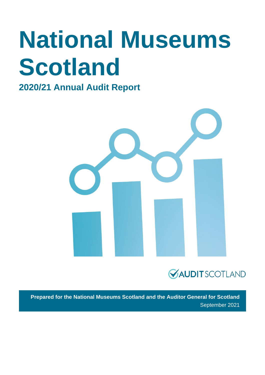# **National Museums Scotland**

### **2020/21 Annual Audit Report**





**Prepared for the National Museums Scotland and the Auditor General for Scotland** September 2021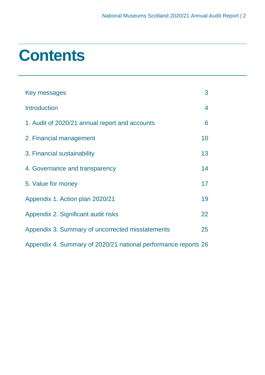### **Contents**

| Key messages                                                   | 3  |
|----------------------------------------------------------------|----|
| <b>Introduction</b>                                            | 4  |
| 1. Audit of 2020/21 annual report and accounts                 | 6  |
| 2. Financial management                                        | 10 |
| 3. Financial sustainability                                    | 13 |
| 4. Governance and transparency                                 | 14 |
| 5. Value for money                                             | 17 |
| Appendix 1. Action plan 2020/21                                | 19 |
| Appendix 2. Significant audit risks                            | 22 |
| Appendix 3. Summary of uncorrected misstatements               | 25 |
| Appendix 4. Summary of 2020/21 national performance reports 26 |    |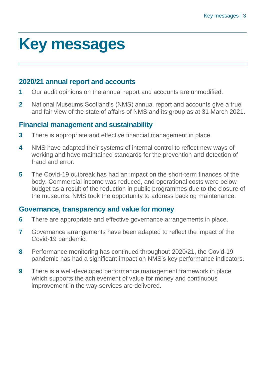### <span id="page-2-0"></span>**Key messages**

#### **2020/21 annual report and accounts**

- **1** Our audit opinions on the annual report and accounts are unmodified.
- **2** National Museums Scotland's (NMS) annual report and accounts give a true and fair view of the state of affairs of NMS and its group as at 31 March 2021.

#### **Financial management and sustainability**

- **3** There is appropriate and effective financial management in place.
- **4** NMS have adapted their systems of internal control to reflect new ways of working and have maintained standards for the prevention and detection of fraud and error.
- **5** The Covid-19 outbreak has had an impact on the short-term finances of the body. Commercial income was reduced, and operational costs were below budget as a result of the reduction in public programmes due to the closure of the museums. NMS took the opportunity to address backlog maintenance.

#### **Governance, transparency and value for money**

- **6** There are appropriate and effective governance arrangements in place.
- **7** Governance arrangements have been adapted to reflect the impact of the Covid-19 pandemic.
- **8** Performance monitoring has continued throughout 2020/21, the Covid-19 pandemic has had a significant impact on NMS's key performance indicators.
- **9** There is a well-developed performance management framework in place which supports the achievement of value for money and continuous improvement in the way services are delivered.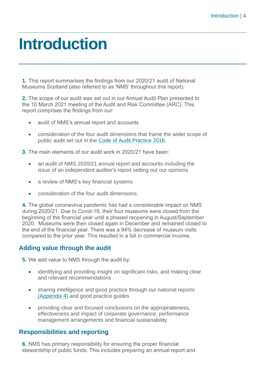### <span id="page-3-0"></span>**Introduction**

**1.** This report summarises the findings from our 2020/21 audit of National Museums Scotland (also referred to as 'NMS' throughout this report).

**2.** The scope of our audit was set out in our Annual Audit Plan presented to the 10 March 2021 meeting of the Audit and Risk Committee (ARC). This report comprises the findings from our:

- audit of NMS's annual report and accounts
- consideration of the four audit dimensions that frame the wider scope of public audit set out in the [Code of Audit Practice 2016.](http://www.audit-scotland.gov.uk/report/code-of-audit-practice-2016)

**3.** The main elements of our audit work in 2020/21 have been:

- an audit of NMS 2020/21 annual report and accounts including the issue of an independent auditor's report setting out our opinions
- a review of NMS's key financial systems
- consideration of the four audit dimensions.

**4.** The global coronavirus pandemic has had a considerable impact on NMS during 2020/21. Due to Covid-19, their four museums were closed from the beginning of the financial year until a phased reopening in August/September 2020. Museums were then closed again in December and remained closed to the end of the financial year. There was a 94% decrease of museum visits compared to the prior year. This resulted in a fall in commercial income.

#### **Adding value through the audit**

**5.** We add value to NMS through the audit by:

- identifying and providing insight on significant risks, and making clear and relevant recommendations
- sharing intelligence and good practice through our national reports [\(Appendix 4\)](#page-25-0) and good practice guides
- providing clear and focused conclusions on the appropriateness, effectiveness and impact of corporate governance, performance management arrangements and financial sustainability.

#### **Responsibilities and reporting**

**6.** NMS has primary responsibility for ensuring the proper financial stewardship of public funds. This includes preparing an annual report and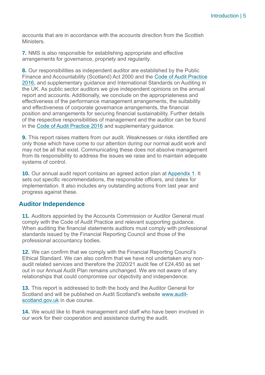accounts that are in accordance with the accounts direction from the Scottish Ministers.

**7.** NMS is also responsible for establishing appropriate and effective arrangements for governance, propriety and regularity.

**8.** Our responsibilities as independent auditor are established by the Public Finance and Accountability (Scotland) Act 2000 and the Code [of Audit Practice](https://www.audit-scotland.gov.uk/report/code-of-audit-practice-2016)  [2016,](https://www.audit-scotland.gov.uk/report/code-of-audit-practice-2016) and supplementary guidance and International Standards on Auditing in the UK. As public sector auditors we give independent opinions on the annual report and accounts. Additionally, we conclude on the appropriateness and effectiveness of the performance management arrangements, the suitability and effectiveness of corporate governance arrangements, the financial position and arrangements for securing financial sustainability. Further details of the respective responsibilities of management and the auditor can be found in the [Code of Audit Practice 2016](http://auditscotland.spideronline.co.uk/report/code-of-audit-practice-2016) and supplementary guidance.

**9.** This report raises matters from our audit. Weaknesses or risks identified are only those which have come to our attention during our normal audit work and may not be all that exist. Communicating these does not absolve management from its responsibility to address the issues we raise and to maintain adequate systems of control.

**10.** Our annual audit report contains an agreed action plan at [Appendix 1.](#page-18-0) It sets out specific recommendations, the responsible officers, and dates for implementation. It also includes any outstanding actions from last year and progress against these.

#### **Auditor Independence**

**11.** Auditors appointed by the Accounts Commission or Auditor General must comply with the Code of Audit Practice and relevant supporting guidance. When auditing the financial statements auditors must comply with professional standards issued by the Financial Reporting Council and those of the professional accountancy bodies.

**12.** We can confirm that we comply with the Financial Reporting Council's Ethical Standard. We can also confirm that we have not undertaken any nonaudit related services and therefore the 2020/21 audit fee of £24,450 as set out in our Annual Audit Plan remains unchanged. We are not aware of any relationships that could compromise our objectivity and independence.

**13.** This report is addressed to both the body and the Auditor General for Scotland and will be published on Audit Scotland's website [www.audit](http://www.audit-scotland.gov.uk/)[scotland.gov.uk](http://www.audit-scotland.gov.uk/) in due course.

**14.** We would like to thank management and staff who have been involved in our work for their cooperation and assistance during the audit.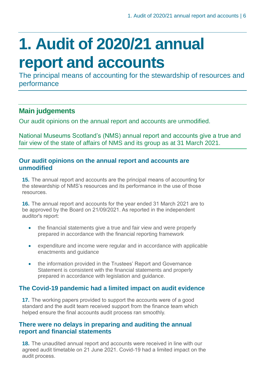## <span id="page-5-0"></span>**1. Audit of 2020/21 annual report and accounts**

The principal means of accounting for the stewardship of resources and performance

#### **Main judgements**

Our audit opinions on the annual report and accounts are unmodified.

National Museums Scotland's (NMS) annual report and accounts give a true and fair view of the state of affairs of NMS and its group as at 31 March 2021.

#### **Our audit opinions on the annual report and accounts are unmodified**

**15.** The annual report and accounts are the principal means of accounting for the stewardship of NMS's resources and its performance in the use of those resources.

**16.** The annual report and accounts for the year ended 31 March 2021 are to be approved by the Board on 21/09/2021. As reported in the independent auditor's report:

- the financial statements give a true and fair view and were properly prepared in accordance with the financial reporting framework
- expenditure and income were regular and in accordance with applicable enactments and guidance
- the information provided in the Trustees' Report and Governance Statement is consistent with the financial statements and properly prepared in accordance with legislation and guidance.

#### **The Covid-19 pandemic had a limited impact on audit evidence**

**17.** The working papers provided to support the accounts were of a good standard and the audit team received support from the finance team which helped ensure the final accounts audit process ran smoothly.

#### **There were no delays in preparing and auditing the annual report and financial statements**

**18.** The unaudited annual report and accounts were received in line with our agreed audit timetable on 21 June 2021. Covid-19 had a limited impact on the audit process.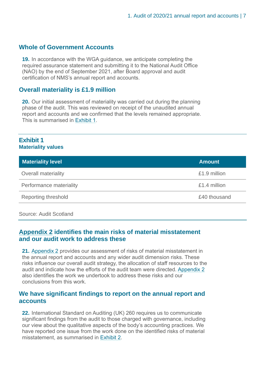#### **Whole of Government Accounts**

**19.** In accordance with the WGA guidance, we anticipate completing the required assurance statement and submitting it to the National Audit Office (NAO) by the end of September 2021, after Board approval and audit certification of NMS's annual report and accounts.

#### **Overall materiality is £1.9 million**

**20.** Our initial assessment of materiality was carried out during the planning phase of the audit. This was reviewed on receipt of the unaudited annual report and accounts and we confirmed that the levels remained appropriate. This is summarised in [Exhibit](#page-6-0) 1.

#### <span id="page-6-0"></span>**Exhibit 1 Materiality values**

| <b>Materiality level</b>   | <b>Amount</b> |
|----------------------------|---------------|
| <b>Overall materiality</b> | £1.9 million  |
| Performance materiality    | £1.4 million  |
| <b>Reporting threshold</b> | £40 thousand  |

Source: Audit Scotland

#### **[Appendix 2](#page-21-0) identifies the main risks of material misstatement and our audit work to address these**

**21.** [Appendix 2](#page-21-0) provides our assessment of risks of material misstatement in the annual report and accounts and any wider audit dimension risks. These risks influence our overall audit strategy, the allocation of staff resources to the audit and indicate how the efforts of the audit team were directed. [Appendix 2](#page-21-0) also identifies the work we undertook to address these risks and our conclusions from this work.

#### **We have significant findings to report on the annual report and accounts**

**22.** International Standard on Auditing (UK) 260 requires us to communicate significant findings from the audit to those charged with governance, including our view about the qualitative aspects of the body's accounting practices. We have reported one issue from the work done on the identified risks of material misstatement, as summarised in [Exhibit](#page-7-0) 2.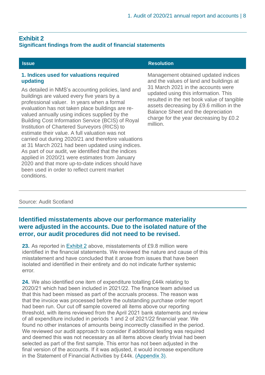charge for the year decreasing by £0.2

#### <span id="page-7-0"></span>**Exhibit 2 Significant findings from the audit of financial statements**

Building Cost Information Service (BCIS) of Royal

carried out during 2020/21 and therefore valuations at 31 March 2021 had been updated using indices. As part of our audit, we identified that the indices applied in 2020/21 were estimates from January 2020 and that more up-to-date indices should have

Institution of Chartered Surveyors (RICS) to estimate their value. A full valuation was not

been used in order to reflect current market

#### **Issue Resolution 1. Indices used for valuations required updating** As detailed in NMS's accounting policies, land and buildings are valued every five years by a professional valuer. In years when a formal evaluation has not taken place buildings are revalued annually using indices supplied by the Management obtained updated indices and the values of land and buildings at 31 March 2021 in the accounts were updated using this information. This resulted in the net book value of tangible assets decreasing by £9.6 million in the Balance Sheet and the depreciation

million.

Source: Audit Scotland

conditions.

#### **Identified misstatements above our performance materiality were adjusted in the accounts. Due to the isolated nature of the error, our audit procedures did not need to be revised.**

**23.** As reported in [Exhibit 2](#page-7-0) above, misstatements of £9.8 million were identified in the financial statements. We reviewed the nature and cause of this misstatement and have concluded that it arose from issues that have been isolated and identified in their entirety and do not indicate further systemic error.

<span id="page-7-1"></span>**24.** We also identified one item of expenditure totalling £44k relating to 2020/21 which had been included in 2021/22. The finance team advised us that this had been missed as part of the accruals process. The reason was that the invoice was processed before the outstanding purchase order report had been run. Our cut off sample covered all items above our reporting threshold, with items reviewed from the April 2021 bank statements and review of all expenditure included in periods 1 and 2 of 2021/22 financial year. We found no other instances of amounts being incorrectly classified in the period. We reviewed our audit approach to consider if additional testing was required and deemed this was not necessary as all items above clearly trivial had been selected as part of the first sample. This error has not been adjusted in the final version of the accounts. If it was adjusted, it would increase expenditure in the Statement of Financial Activities by £44k. [\(Appendix 3\).](#page-21-1)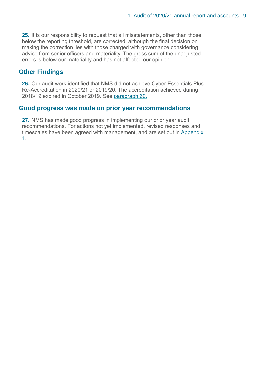**25.** It is our responsibility to request that all misstatements, other than those below the reporting threshold, are corrected, although the final decision on making the correction lies with those charged with governance considering advice from senior officers and materiality. The gross sum of the unadjusted errors is below our materiality and has not affected our opinion.

#### **Other Findings**

<span id="page-8-0"></span>**26.** Our audit work identified that NMS did not achieve Cyber Essentials Plus Re-Accreditation in 2020/21 or 2019/20. The accreditation achieved during 2018/19 expired in October 2019. See [paragraph 60.](#page-8-0)

#### **Good progress was made on prior year recommendations**

**27.** NMS has made good progress in implementing our prior year audit recommendations. For actions not yet implemented, revised responses and timescales have been agreed with management, and are set out in [Appendix](#page-18-0)  [1.](#page-18-0)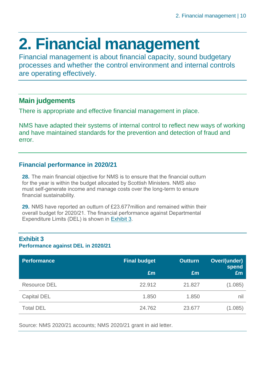## <span id="page-9-0"></span>**2. Financial management**

Financial management is about financial capacity, sound budgetary processes and whether the control environment and internal controls are operating effectively.

#### **Main judgements**

There is appropriate and effective financial management in place.

NMS have adapted their systems of internal control to reflect new ways of working and have maintained standards for the prevention and detection of fraud and error.

#### **Financial performance in 2020/21**

**28.** The main financial objective for NMS is to ensure that the financial outturn for the year is within the budget allocated by Scottish Ministers. NMS also must self-generate income and manage costs over the long-term to ensure financial sustainability.

**29.** NMS have reported an outturn of £23.677million and remained within their overall budget for 2020/21. The financial performance against Departmental Expenditure Limits (DEL) is shown in [Exhibit](#page-9-1) 3.

### <span id="page-9-1"></span>**Exhibit 3 Performance against DEL in 2020/21**

| <b>Performance</b>  | <b>Final budget</b> | <b>Outturn</b> | Over/(under)<br>spend |
|---------------------|---------------------|----------------|-----------------------|
|                     | £m                  | £m             | Em                    |
| <b>Resource DEL</b> | 22.912              | 21.827         | (1.085)               |
| <b>Capital DEL</b>  | 1.850               | 1.850          | nil                   |
| <b>Total DEL</b>    | 24.762              | 23.677         | (1.085)               |

Source: NMS 2020/21 accounts; NMS 2020/21 grant in aid letter.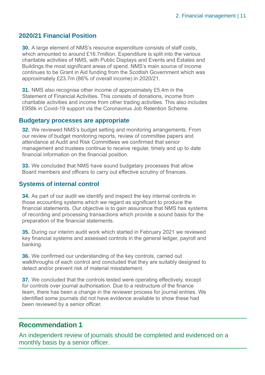#### **2020/21 Financial Position**

**30.** A large element of NMS's resource expenditure consists of staff costs, which amounted to around £16.7million. Expenditure is split into the various charitable activities of NMS, with Public Displays and Events and Estates and Buildings the most significant areas of spend. NMS's main source of income continues to be Grant in Aid funding from the Scottish Government which was approximately £23.7m (86% of overall income) in 2020/21.

**31.** NMS also recognise other income of approximately £5.4m in the Statement of Financial Activities. This consists of donations, income from charitable activities and income from other trading activities. This also includes £958k in Covid-19 support via the Coronavirus Job Retention Scheme.

#### **Budgetary processes are appropriate**

**32.** We reviewed NMS's budget setting and monitoring arrangements. From our review of budget monitoring reports, review of committee papers and attendance at Audit and Risk Committees we confirmed that senior management and trustees continue to receive regular, timely and up to date financial information on the financial position.

**33.** We concluded that NMS have sound budgetary processes that allow Board members and officers to carry out effective scrutiny of finances.

#### **Systems of internal control**

**34.** As part of our audit we identify and inspect the key internal controls in those accounting systems which we regard as significant to produce the financial statements. Our objective is to gain assurance that NMS has systems of recording and processing transactions which provide a sound basis for the preparation of the financial statements.

**35.** During our interim audit work which started in February 2021 we reviewed key financial systems and assessed controls in the general ledger, payroll and banking.

**36.** We confirmed our understanding of the key controls, carried out walkthroughs of each control and concluded that they are suitably designed to detect and/or prevent risk of material misstatement.

**37.** We concluded that the controls tested were operating effectively, except for controls over journal authorisation. Due to a restructure of the finance team, there has been a change in the reviewer process for journal entries. We identified some journals did not have evidence available to show these had been reviewed by a senior officer.

#### **Recommendation 1**

An independent review of journals should be completed and evidenced on a monthly basis by a senior officer.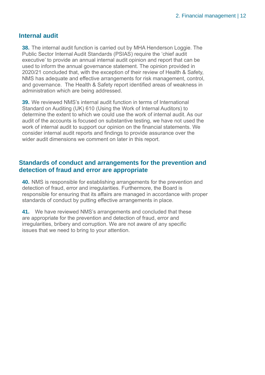#### **Internal audit**

**38.** The internal audit function is carried out by MHA Henderson Loggie. The Public Sector Internal Audit Standards (PSIAS) require the 'chief audit executive' to provide an annual internal audit opinion and report that can be used to inform the annual governance statement. The opinion provided in 2020/21 concluded that, with the exception of their review of Health & Safety, NMS has adequate and effective arrangements for risk management, control, and governance. The Health & Safety report identified areas of weakness in administration which are being addressed.

**39.** We reviewed NMS's internal audit function in terms of International Standard on Auditing (UK) 610 (Using the Work of Internal Auditors) to determine the extent to which we could use the work of internal audit. As our audit of the accounts is focused on substantive testing, we have not used the work of internal audit to support our opinion on the financial statements. We consider internal audit reports and findings to provide assurance over the wider audit dimensions we comment on later in this report.

#### **Standards of conduct and arrangements for the prevention and detection of fraud and error are appropriate**

**40.** NMS is responsible for establishing arrangements for the prevention and detection of fraud, error and irregularities. Furthermore, the Board is responsible for ensuring that its affairs are managed in accordance with proper standards of conduct by putting effective arrangements in place.

**41.** We have reviewed NMS's arrangements and concluded that these are appropriate for the prevention and detection of fraud, error and irregularities, bribery and corruption. We are not aware of any specific issues that we need to bring to your attention.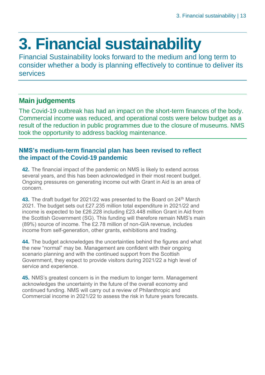## <span id="page-12-0"></span>**3. Financial sustainability**

Financial Sustainability looks forward to the medium and long term to consider whether a body is planning effectively to continue to deliver its services

#### **Main judgements**

The Covid-19 outbreak has had an impact on the short-term finances of the body. Commercial income was reduced, and operational costs were below budget as a result of the reduction in public programmes due to the closure of museums. NMS took the opportunity to address backlog maintenance.

#### **NMS's medium-term financial plan has been revised to reflect the impact of the Covid-19 pandemic**

**42.** The financial impact of the pandemic on NMS is likely to extend across several years, and this has been acknowledged in their most recent budget. Ongoing pressures on generating income out with Grant in Aid is an area of concern.

43. The draft budget for 2021/22 was presented to the Board on 24<sup>th</sup> March 2021. The budget sets out £27.235 million total expenditure in 2021/22 and income is expected to be £26.228 including £23.448 million Grant in Aid from the Scottish Government (SG). This funding will therefore remain NMS's main (89%) source of income. The £2.78 million of non-GIA revenue, includes income from self-generation, other grants, exhibitions and trading.

**44.** The budget acknowledges the uncertainties behind the figures and what the new "normal" may be. Management are confident with their ongoing scenario planning and with the continued support from the Scottish Government, they expect to provide visitors during 2021/22 a high level of service and experience.

**45.** NMS's greatest concern is in the medium to longer term. Management acknowledges the uncertainty in the future of the overall economy and continued funding. NMS will carry out a review of Philanthropic and Commercial income in 2021/22 to assess the risk in future years forecasts.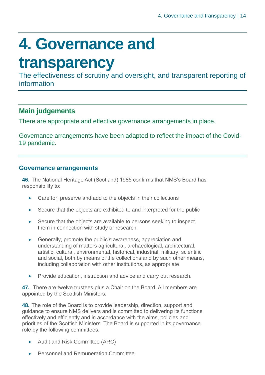## <span id="page-13-0"></span>**4. Governance and**

### **transparency**

The effectiveness of scrutiny and oversight, and transparent reporting of information

#### **Main judgements**

There are appropriate and effective governance arrangements in place.

Governance arrangements have been adapted to reflect the impact of the Covid-19 pandemic.

#### **Governance arrangements**

**46.** The National Heritage Act (Scotland) 1985 confirms that NMS's Board has responsibility to:

- Care for, preserve and add to the objects in their collections
- Secure that the objects are exhibited to and interpreted for the public
- Secure that the objects are available to persons seeking to inspect them in connection with study or research
- Generally, promote the public's awareness, appreciation and understanding of matters agricultural, archaeological, architectural, artistic, cultural, environmental, historical, industrial, military, scientific and social, both by means of the collections and by such other means, including collaboration with other institutions, as appropriate
- Provide education, instruction and advice and carry out research.

**47.** There are twelve trustees plus a Chair on the Board. All members are appointed by the Scottish Ministers.

**48.** The role of the Board is to provide leadership, direction, support and guidance to ensure NMS delivers and is committed to delivering its functions effectively and efficiently and in accordance with the aims, policies and priorities of the Scottish Ministers. The Board is supported in its governance role by the following committees:

- Audit and Risk Committee (ARC)
- Personnel and Remuneration Committee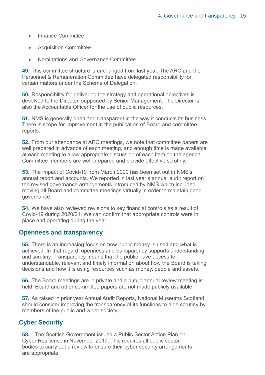- Finance Committee
- Acquisition Committee
- Nominations and Governance Committee

**49.** This committee structure is unchanged from last year. The ARC and the Personnel & Remuneration Committee have delegated responsibility for certain matters under the Scheme of Delegation.

**50.** Responsibility for delivering the strategy and operational objectives is devolved to the Director, supported by Senior Management. The Director is also the Accountable Officer for the use of public resources.

**51.** NMS is generally open and transparent in the way it conducts its business. There is scope for improvement in the publication of Board and committee reports.

**52.** From our attendance at ARC meetings, we note that committee papers are well prepared in advance of each meeting, and enough time is made available at each meeting to allow appropriate discussion of each item on the agenda. Committee members are well-prepared and provide effective scrutiny.

**53.** The impact of Covid-19 from March 2020 has been set out in NMS's annual report and accounts. We reported in last year's annual audit report on the revised governance arrangements introduced by NMS which included moving all Board and committee meetings virtually in order to maintain good governance.

**54.** We have also reviewed revisions to key financial controls as a result of Covid-19 during 2020/21. We can confirm that appropriate controls were in place and operating during the year.

#### **Openness and transparency**

**55.** There is an increasing focus on how public money is used and what is achieved. In that regard, openness and transparency supports understanding and scrutiny. Transparency means that the public have access to understandable, relevant and timely information about how the Board is taking decisions and how it is using resources such as money, people and assets.

**56.** The Board meetings are in private and a public annual review meeting is held. Board and other committee papers are not made publicly available.

**57.** As raised in prior year Annual Audit Reports, National Museums Scotland should consider improving the transparency of its functions to aide scrutiny by members of the public and wider society.

#### **Cyber Security**

**58.** The Scottish Government issued a Public Sector Action Plan on Cyber Resilience in November 2017. This requires all public sector bodies to carry out a review to ensure their cyber security arrangements are appropriate.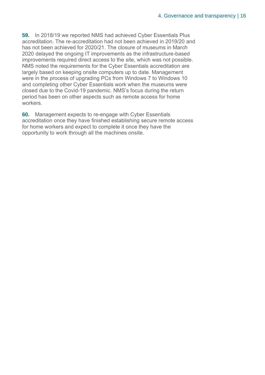**59.** In 2018/19 we reported NMS had achieved Cyber Essentials Plus accreditation. The re-accreditation had not been achieved in 2019/20 and has not been achieved for 2020/21. The closure of museums in March 2020 delayed the ongoing IT improvements as the infrastructure-based improvements required direct access to the site, which was not possible. NMS noted the requirements for the Cyber Essentials accreditation are largely based on keeping onsite computers up to date. Management were in the process of upgrading PCs from Windows 7 to Windows 10 and completing other Cyber Essentials work when the museums were closed due to the Covid-19 pandemic. NMS's focus during the return period has been on other aspects such as remote access for home workers.

**60.** Management expects to re-engage with Cyber Essentials accreditation once they have finished establishing secure remote access for home workers and expect to complete it once they have the opportunity to work through all the machines onsite.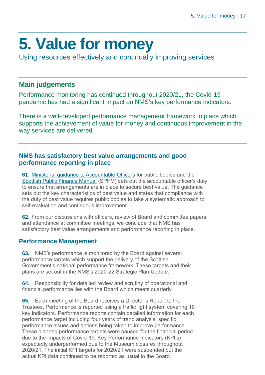### <span id="page-16-0"></span>**5. Value for money**

Using resources effectively and continually improving services

#### **Main judgements**

Performance monitoring has continued throughout 2020/21, the Covid-19 pandemic has had a significant impact on NMS's key performance indicators.

There is a well-developed performance management framework in place which supports the achievement of value for money and continuous improvement in the way services are delivered.

#### **NMS has satisfactory best value arrangements and good performance reporting in place**

**61.** [Ministerial guidance to Accountable Officers](https://www.gov.scot/publications/best-value-public-services-guidance-accountable-officers/) for public bodies and the [Scottish Public Finance Manual](https://www.gov.scot/publications/scottish-public-finance-manual/best-value/best-value/) (SPFM) sets out the accountable officer's duty to ensure that arrangements are in place to secure best value. The guidance sets out the key characteristics of best value and states that compliance with the duty of best value requires public bodies to take a systematic approach to self-evaluation and continuous improvement.

**62.** From our discussions with officers, review of Board and committee papers and attendance at committee meetings, we conclude that NMS has satisfactory best value arrangements and performance reporting in place.

#### **Performance Management**

**63.** NMS's performance is monitored by the Board against several performance targets which support the delivery of the Scottish Government's national performance framework. These targets and their plans are set out in the NMS's 2020-22 Strategic Plan Update.

**64.** Responsibility for detailed review and scrutiny of operational and financial performance lies with the Board which meets quarterly.

**65.** Each meeting of the Board receives a Director's Report to the Trustees. Performance is reported using a traffic light system covering 10 key indicators. Performance reports contain detailed information for each performance target including four years of trend analysis, specific performance issues and actions being taken to improve performance. These planned performance targets were paused for the financial period due to the impacts of Covid-19. Key Performance Indicators (KPI's) expectedly underperformed due to the Museum closures throughout 2020/21. The initial KPI targets for 2020/21 were suspended but the actual KPI data continued to be reported as usual to the Board.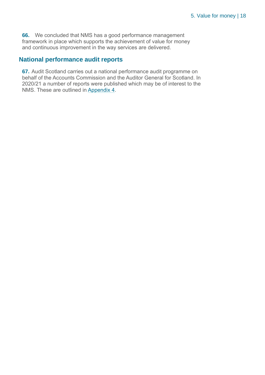**66.** We concluded that NMS has a good performance management framework in place which supports the achievement of value for money and continuous improvement in the way services are delivered.

#### **National performance audit reports**

**67.** Audit Scotland carries out a national performance audit programme on behalf of the Accounts Commission and the Auditor General for Scotland. In 2020/21 a number of reports were published which may be of interest to the NMS. These are outlined in [Appendix 4.](#page-25-0)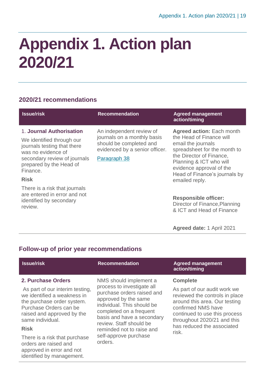### <span id="page-18-0"></span>**Appendix 1. Action plan 2020/21**

#### **2020/21 recommendations**

| <b>Issue/risk</b>                                                                                                                                                                 | <b>Recommendation</b>                                                                                                                | <b>Agreed management</b><br>action/timing                                                                                                                                                                                              |
|-----------------------------------------------------------------------------------------------------------------------------------------------------------------------------------|--------------------------------------------------------------------------------------------------------------------------------------|----------------------------------------------------------------------------------------------------------------------------------------------------------------------------------------------------------------------------------------|
| 1. Journal Authorisation<br>We identified through our<br>journals testing that there<br>was no evidence of<br>secondary review of journals<br>prepared by the Head of<br>Finance. | An independent review of<br>journals on a monthly basis<br>should be completed and<br>evidenced by a senior officer.<br>Paragraph 38 | <b>Agreed action: Each month</b><br>the Head of Finance will<br>email the journals<br>spreadsheet for the month to<br>the Director of Finance,<br>Planning & ICT who will<br>evidence approval of the<br>Head of Finance's journals by |
| <b>Risk</b>                                                                                                                                                                       |                                                                                                                                      | emailed reply.                                                                                                                                                                                                                         |
| There is a risk that journals<br>are entered in error and not<br>identified by secondary<br>review.                                                                               |                                                                                                                                      | <b>Responsible officer:</b><br>Director of Finance, Planning<br>& ICT and Head of Finance                                                                                                                                              |
|                                                                                                                                                                                   |                                                                                                                                      | Agreed date: 1 April 2021                                                                                                                                                                                                              |

#### **Follow-up of prior year recommendations**

identified by management.

| <b>Issue/risk</b>                                                                                                                                                                                                                                                       | <b>Recommendation</b>                                                                                                                                                                                                                                                                         | <b>Agreed management</b><br>action/timing                                                                                                                                                                                                       |
|-------------------------------------------------------------------------------------------------------------------------------------------------------------------------------------------------------------------------------------------------------------------------|-----------------------------------------------------------------------------------------------------------------------------------------------------------------------------------------------------------------------------------------------------------------------------------------------|-------------------------------------------------------------------------------------------------------------------------------------------------------------------------------------------------------------------------------------------------|
| 2. Purchase Orders<br>As part of our interim testing,<br>we identified a weakness in<br>the purchase order system.<br>Purchase Orders can be<br>raised and approved by the<br>same individual.<br><b>Risk</b><br>There is a risk that purchase<br>orders are raised and | NMS should implement a<br>process to investigate all<br>purchase orders raised and<br>approved by the same<br>individual. This should be<br>completed on a frequent<br>basis and have a secondary<br>review. Staff should be<br>reminded not to raise and<br>self-approve purchase<br>orders. | <b>Complete</b><br>As part of our audit work we<br>reviewed the controls in place<br>around this area. Our testing<br>confirmed NMS have<br>continued to use this process<br>throughout 2020/21 and this<br>has reduced the associated<br>risk. |
| approved in error and not                                                                                                                                                                                                                                               |                                                                                                                                                                                                                                                                                               |                                                                                                                                                                                                                                                 |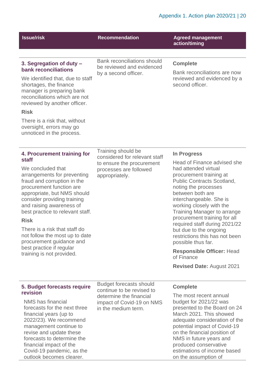| <b>Issue/risk</b>                                                                                                                                                                                                                                                                        | <b>Recommendation</b>                                                                                    | <b>Agreed management</b><br>action/timing                                                                                                                                                                                                                                                                               |
|------------------------------------------------------------------------------------------------------------------------------------------------------------------------------------------------------------------------------------------------------------------------------------------|----------------------------------------------------------------------------------------------------------|-------------------------------------------------------------------------------------------------------------------------------------------------------------------------------------------------------------------------------------------------------------------------------------------------------------------------|
|                                                                                                                                                                                                                                                                                          |                                                                                                          |                                                                                                                                                                                                                                                                                                                         |
| 3. Segregation of duty -<br>bank reconciliations                                                                                                                                                                                                                                         | <b>Bank reconciliations should</b><br>be reviewed and evidenced<br>by a second officer.                  | <b>Complete</b><br>Bank reconciliations are now                                                                                                                                                                                                                                                                         |
| We identified that, due to staff<br>shortages, the finance<br>manager is preparing bank<br>reconciliations which are not<br>reviewed by another officer.                                                                                                                                 |                                                                                                          | reviewed and evidenced by a<br>second officer.                                                                                                                                                                                                                                                                          |
| <b>Risk</b>                                                                                                                                                                                                                                                                              |                                                                                                          |                                                                                                                                                                                                                                                                                                                         |
| There is a risk that, without<br>oversight, errors may go<br>unnoticed in the process.                                                                                                                                                                                                   |                                                                                                          |                                                                                                                                                                                                                                                                                                                         |
|                                                                                                                                                                                                                                                                                          | Training should be                                                                                       |                                                                                                                                                                                                                                                                                                                         |
| 4. Procurement training for<br>staff                                                                                                                                                                                                                                                     | considered for relevant staff                                                                            | <b>In Progress</b>                                                                                                                                                                                                                                                                                                      |
| We concluded that<br>arrangements for preventing<br>fraud and corruption in the<br>procurement function are<br>appropriate, but NMS should<br>consider providing training<br>and raising awareness of<br>best practice to relevant staff.                                                | to ensure the procurement<br>processes are followed<br>appropriately.                                    | Head of Finance advised she<br>had attended virtual<br>procurement training at<br><b>Public Contracts Scotland,</b><br>noting the processes<br>between both are<br>interchangeable. She is<br>working closely with the<br><b>Training Manager to arrange</b>                                                            |
| <b>Risk</b>                                                                                                                                                                                                                                                                              |                                                                                                          | procurement training for all<br>required staff during 2021/22                                                                                                                                                                                                                                                           |
| There is a risk that staff do<br>not follow the most up to date<br>procurement guidance and                                                                                                                                                                                              |                                                                                                          | but due to the ongoing<br>restrictions this has not been<br>possible thus far.                                                                                                                                                                                                                                          |
| best practice if regular<br>training is not provided.                                                                                                                                                                                                                                    |                                                                                                          | <b>Responsible Officer: Head</b><br>of Finance                                                                                                                                                                                                                                                                          |
|                                                                                                                                                                                                                                                                                          |                                                                                                          | <b>Revised Date: August 2021</b>                                                                                                                                                                                                                                                                                        |
| 5. Budget forecasts require                                                                                                                                                                                                                                                              | <b>Budget forecasts should</b>                                                                           | <b>Complete</b>                                                                                                                                                                                                                                                                                                         |
| revision<br>NMS has financial<br>forecasts for the next three<br>financial years (up to<br>2022/23). We recommend<br>management continue to<br>revise and update these<br>forecasts to determine the<br>financial impact of the<br>Covid-19 pandemic, as the<br>outlook becomes clearer. | continue to be revised to<br>determine the financial<br>impact of Covid-19 on NMS<br>in the medium term. | The most recent annual<br>budget for 2021/22 was<br>presented to the Board on 24<br>March 2021. This showed<br>adequate consideration of the<br>potential impact of Covid-19<br>on the financial position of<br>NMS in future years and<br>produced conservative<br>estimations of income based<br>on the assumption of |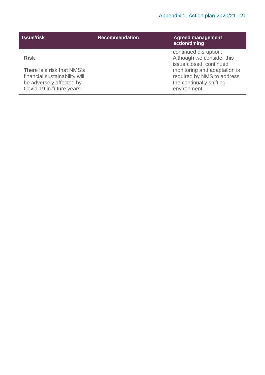| <b>Issue/risk</b>                                                                                                                   | <b>Recommendation</b> | <b>Agreed management</b><br>action/timing                                                                                                                                               |
|-------------------------------------------------------------------------------------------------------------------------------------|-----------------------|-----------------------------------------------------------------------------------------------------------------------------------------------------------------------------------------|
| <b>Risk</b><br>There is a risk that NMS's<br>financial sustainability will<br>be adversely affected by<br>Covid-19 in future years. |                       | continued disruption.<br>Although we consider this<br>issue closed, continued<br>monitoring and adaptation is<br>required by NMS to address<br>the continually shifting<br>environment. |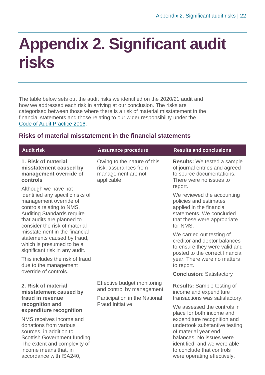### <span id="page-21-0"></span>**Appendix 2. Significant audit risks**

The table below sets out the audit risks we identified on the 2020/21 audit and how we addressed each risk in arriving at our conclusion. The risks are categorised between those where there is a risk of material misstatement in the financial statements and those relating to our wider responsibility under the [Code of Audit Practice 2016.](http://www.audit-scotland.gov.uk/report/code-of-audit-practice-2016)

#### <span id="page-21-1"></span>**Risks of material misstatement in the financial statements**

| <b>Audit risk</b>                                                                                                                                                                                                   | <b>Assurance procedure</b>                                                                 | <b>Results and conclusions</b>                                                                                                                                                                               |
|---------------------------------------------------------------------------------------------------------------------------------------------------------------------------------------------------------------------|--------------------------------------------------------------------------------------------|--------------------------------------------------------------------------------------------------------------------------------------------------------------------------------------------------------------|
| 1. Risk of material<br>misstatement caused by<br>management override of<br>controls                                                                                                                                 | Owing to the nature of this<br>risk, assurances from<br>management are not<br>applicable.  | <b>Results:</b> We tested a sample<br>of journal entries and agreed<br>to source documentations.<br>There were no issues to<br>report.                                                                       |
| Although we have not<br>identified any specific risks of<br>management override of<br>controls relating to NMS,<br><b>Auditing Standards require</b><br>that audits are planned to<br>consider the risk of material |                                                                                            | We reviewed the accounting<br>policies and estimates<br>applied in the financial<br>statements. We concluded<br>that these were appropriate<br>for NMS.                                                      |
| misstatement in the financial<br>statements caused by fraud,<br>which is presumed to be a<br>significant risk in any audit.                                                                                         |                                                                                            | We carried out testing of<br>creditor and debtor balances<br>to ensure they were valid and<br>posted to the correct financial                                                                                |
| This includes the risk of fraud<br>due to the management                                                                                                                                                            |                                                                                            | year. There were no matters<br>to report.                                                                                                                                                                    |
| override of controls.                                                                                                                                                                                               |                                                                                            | <b>Conclusion: Satisfactory</b>                                                                                                                                                                              |
| 2. Risk of material<br>misstatement caused by<br>fraud in revenue                                                                                                                                                   | Effective budget monitoring<br>and control by management.<br>Participation in the National | <b>Results:</b> Sample testing of<br>income and expenditure<br>transactions was satisfactory.                                                                                                                |
| recognition and<br>expenditure recognition                                                                                                                                                                          | Fraud Initiative.                                                                          | We assessed the controls in<br>place for both income and                                                                                                                                                     |
| NMS receives income and<br>donations from various<br>sources, in addition to<br>Scottish Government funding.<br>The extent and complexity of<br>income means that, in<br>accordance with ISA240,                    |                                                                                            | expenditure recognition and<br>undertook substantive testing<br>of material year end<br>balances. No issues were<br>identified, and we were able<br>to conclude that controls<br>were operating effectively. |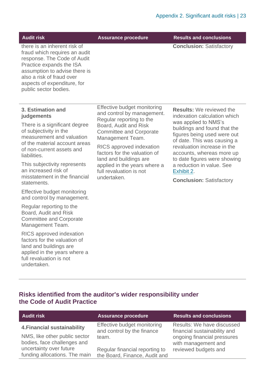**Audit risk Assurance procedure Results and conclusions**

**Conclusion:** Satisfactory

there is an inherent risk of fraud which requires an audit response. The Code of Audit Practice expands the ISA assumption to advise there is also a risk of fraud over aspects of expenditure, for public sector bodies.

#### **3. Estimation and judgements**

There is a significant degree of subjectivity in the measurement and valuation of the material account areas of non-current assets and liabilities.

This subjectivity represents an increased risk of misstatement in the financial statements.

Effective budget monitoring and control by management.

Regular reporting to the Board, Audit and Risk Committee and Corporate Management Team.

RICS approved indexation factors for the valuation of land and buildings are applied in the years where a full revaluation is not undertaken.

Effective budget monitoring and control by management. Regular reporting to the Board, Audit and Risk Committee and Corporate Management Team.

RICS approved indexation factors for the valuation of land and buildings are applied in the years where a full revaluation is not undertaken.

**Results:** We reviewed the indexation calculation which was applied to NMS's buildings and found that the figures being used were out of date. This was causing a revaluation increase in the accounts, whereas more up to date figures were showing a reduction in value. See [Exhibit 2.](#page-7-0)

**Conclusion:** Satisfactory

#### **Risks identified from the auditor's wider responsibility under the Code of Audit Practice**

| <b>Audit risk</b>                                            | <b>Assurance procedure</b>                                      | <b>Results and conclusions</b>                             |
|--------------------------------------------------------------|-----------------------------------------------------------------|------------------------------------------------------------|
| <b>4. Financial sustainability</b>                           | Effective budget monitoring<br>and control by the finance       | Results: We have discussed<br>financial sustainability and |
| NMS, like other public sector<br>bodies, face challenges and | team.                                                           | ongoing financial pressures<br>with management and         |
| uncertainty over future<br>funding allocations. The main     | Regular financial reporting to<br>the Board, Finance, Audit and | reviewed budgets and                                       |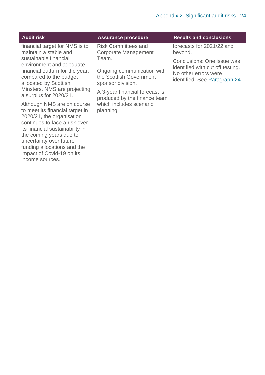| <b>Audit risk</b>                                                                                                                                                                                                                                                                                   | <b>Assurance procedure</b>                                                          | <b>Results and conclusions</b>                                                                                         |
|-----------------------------------------------------------------------------------------------------------------------------------------------------------------------------------------------------------------------------------------------------------------------------------------------------|-------------------------------------------------------------------------------------|------------------------------------------------------------------------------------------------------------------------|
| financial target for NMS is to<br>maintain a stable and                                                                                                                                                                                                                                             | <b>Risk Committees and</b><br><b>Corporate Management</b>                           | forecasts for 2021/22 and<br>beyond.                                                                                   |
| sustainable financial<br>environment and adequate<br>financial outturn for the year,<br>compared to the budget<br>allocated by Scottish                                                                                                                                                             | Team.<br>Ongoing communication with<br>the Scottish Government<br>sponsor division. | Conclusions: One issue was<br>identified with cut off testing.<br>No other errors were<br>identified. See Paragraph 24 |
| Minsters. NMS are projecting<br>a surplus for 2020/21.                                                                                                                                                                                                                                              | A 3-year financial forecast is                                                      |                                                                                                                        |
| Although NMS are on course<br>to meet its financial target in<br>2020/21, the organisation<br>continues to face a risk over<br>its financial sustainability in<br>the coming years due to<br>uncertainty over future<br>funding allocations and the<br>impact of Covid-19 on its<br>income sources. | produced by the finance team<br>which includes scenario<br>planning.                |                                                                                                                        |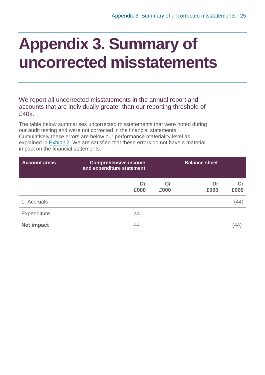### <span id="page-24-0"></span>**Appendix 3. Summary of uncorrected misstatements**

We report all uncorrected misstatements in the annual report and accounts that are individually greater than our reporting threshold of £40k.

The table below summarises uncorrected misstatements that were noted during our audit testing and were not corrected in the financial statements. Cumulatively these errors are below our performance materiality level as explained in [Exhibit](#page-7-0) 2. We are satisfied that these errors do not have a material impact on the financial statements.

| <b>Account areas</b> | <b>Comprehensive income</b><br>and expenditure statement |            | <b>Balance sheet</b> |            |
|----------------------|----------------------------------------------------------|------------|----------------------|------------|
|                      | Dr<br>£000                                               | Cr<br>£000 | Dr<br>£000           | Cr<br>£000 |
| 1. Accruals          |                                                          |            |                      | (44)       |
| Expenditure          | 44                                                       |            |                      |            |
| <b>Net impact</b>    | 44                                                       |            |                      |            |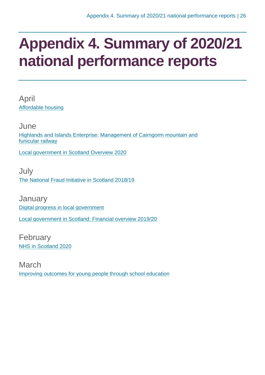### <span id="page-25-0"></span>**Appendix 4. Summary of 2020/21 national performance reports**

April [Affordable housing](https://www.audit-scotland.gov.uk/report/affordable-housing)

June [Highlands and Islands Enterprise: Management of Cairngorm mountain and](https://www.audit-scotland.gov.uk/report/highlands-and-islands-enterprise-management-of-cairngorm-mountain-and-funicular-railway)  [funicular railway](https://www.audit-scotland.gov.uk/report/highlands-and-islands-enterprise-management-of-cairngorm-mountain-and-funicular-railway)

[Local government in Scotland Overview 2020](https://www.audit-scotland.gov.uk/report/local-government-in-scotland-overview-2020)

July [The National Fraud Initiative in Scotland 2018/19](https://www.audit-scotland.gov.uk/report/the-national-fraud-initiative-in-scotland-201819)

**January** [Digital progress in local government](https://www.audit-scotland.gov.uk/report/digital-progress-in-local-government) [Local government in Scotland: Financial overview 2019/20](https://www.audit-scotland.gov.uk/report/local-government-in-scotland-financial-overview-201920)

February [NHS in Scotland 2020](https://www.audit-scotland.gov.uk/report/nhs-in-scotland-2020)

March [Improving outcomes for young people through school education](https://www.audit-scotland.gov.uk/report/improving-outcomes-for-young-people-through-school-education)